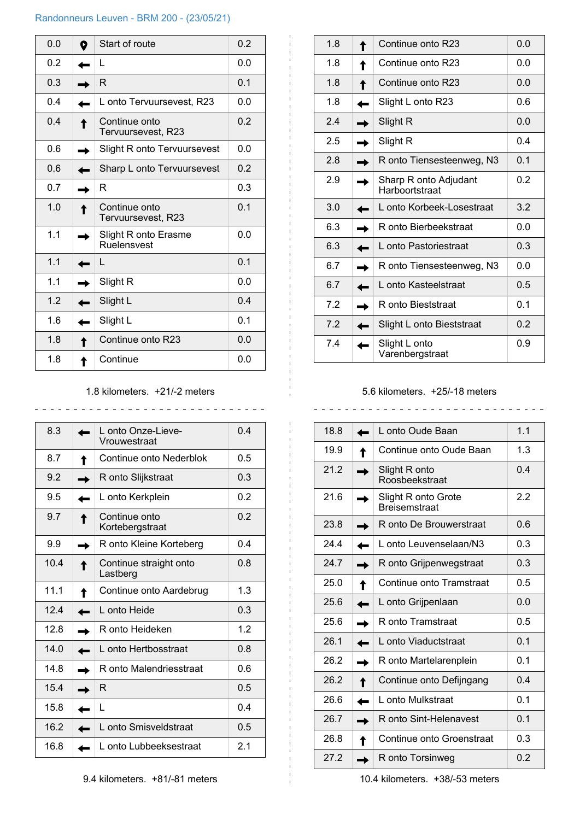#### Randonneurs Leuven - BRM 200 - (23/05/21)

| 0.0 | D | Start of route                      | 0.2 |
|-----|---|-------------------------------------|-----|
| 0.2 |   | L                                   | 0.0 |
| 0.3 |   | R                                   | 0.1 |
| 0.4 |   | L onto Tervuursevest, R23           | 0.0 |
| 0.4 |   | Continue onto<br>Tervuursevest, R23 | 0.2 |
| 0.6 |   | Slight R onto Tervuursevest         | 0.0 |
| 0.6 |   | Sharp L onto Tervuursevest          | 0.2 |
| 0.7 |   | R                                   | 0.3 |
| 1.0 |   | Continue onto<br>Tervuursevest, R23 | 0.1 |
| 1.1 |   | Slight R onto Erasme<br>Ruelensvest | 0.0 |
| 1.1 |   | L                                   | 0.1 |
| 1.1 |   | Slight R                            | 0.0 |
| 1.2 |   | Slight L                            | 0.4 |
| 1.6 |   | Slight L                            | 0.1 |
| 1.8 |   | Continue onto R23                   | 0.0 |
| 1.8 |   | Continue                            | 0.0 |

# 1.8 kilometers. +21/-2 meters

| 8.3  | L onto Onze-Lieve-<br>Vrouwestraat | 0.4 |
|------|------------------------------------|-----|
| 8.7  | Continue onto Nederblok            | 0.5 |
| 9.2  | R onto Slijkstraat                 | 0.3 |
| 9.5  | L onto Kerkplein                   | 0.2 |
| 9.7  | Continue onto<br>Kortebergstraat   | 0.2 |
| 9.9  | R onto Kleine Korteberg            | 0.4 |
| 10.4 | Continue straight onto<br>Lastberg | 0.8 |
| 11.1 | Continue onto Aardebrug            | 1.3 |
| 12.4 | L onto Heide                       | 0.3 |
| 12.8 | R onto Heideken                    | 1.2 |
| 14.0 | L onto Hertbosstraat               | 0.8 |
| 14.8 | R onto Malendriesstraat            | 0.6 |
| 15.4 | R                                  | 0.5 |
| 15.8 | L                                  | 04  |
| 16.2 | L onto Smisveldstraat              | 0.5 |
| 16.8 | L onto Lubbeeksestraat             | 2.1 |

| 1.8 | Continue onto R23                       | 0.0 |
|-----|-----------------------------------------|-----|
| 1.8 | Continue onto R23                       | 0.0 |
| 1.8 | Continue onto R23                       | 0.0 |
| 1.8 | Slight L onto R23                       | 0.6 |
| 2.4 | Slight R                                | 0.0 |
| 2.5 | Slight R                                | 0.4 |
| 2.8 | R onto Tiensesteenweg, N3               | 0.1 |
| 2.9 | Sharp R onto Adjudant<br>Harboortstraat | 0.2 |
| 3.0 | L onto Korbeek-Losestraat               | 3.2 |
| 6.3 | R onto Bierbeekstraat                   | 0.0 |
| 6.3 | L onto Pastoriestraat                   | 0.3 |
| 6.7 | R onto Tiensesteenweg, N3               | 0.0 |
| 6.7 | L onto Kasteelstraat                    | 0.5 |
| 7.2 | R onto Bieststraat                      | 0.1 |
| 7.2 | Slight L onto Bieststraat               | 0.2 |
| 7.4 | Slight L onto<br>Varenbergstraat        | 0.9 |

## 5.6 kilometers. +25/-18 meters

| 18.8 | L onto Oude Baan                            | 1.1 |
|------|---------------------------------------------|-----|
| 19.9 | Continue onto Oude Baan                     | 1.3 |
| 21.2 | Slight R onto<br>Roosbeekstraat             | 04  |
| 21.6 | Slight R onto Grote<br><b>Breisemstraat</b> | 2.2 |
| 23.8 | R onto De Brouwerstraat                     | 0.6 |
| 24.4 | L onto Leuvenselaan/N3                      | 0.3 |
| 24.7 | R onto Grijpenwegstraat                     | 0.3 |
| 25.0 | Continue onto Tramstraat                    | 0.5 |
| 25.6 | L onto Grijpenlaan                          | 0.0 |
| 25.6 | R onto Tramstraat                           | 0.5 |
| 26.1 | L onto Viaductstraat                        | 0.1 |
| 26.2 | R onto Martelarenplein                      | 0.1 |
| 26.2 | Continue onto Defijngang                    | 0.4 |
| 26.6 | L onto Mulkstraat                           | 0.1 |
| 26.7 | R onto Sint-Helenavest                      | 0.1 |
| 26.8 | Continue onto Groenstraat                   | 0.3 |
| 27.2 | R onto Torsinweg                            | 0.2 |

10.4 kilometers. +38/-53 meters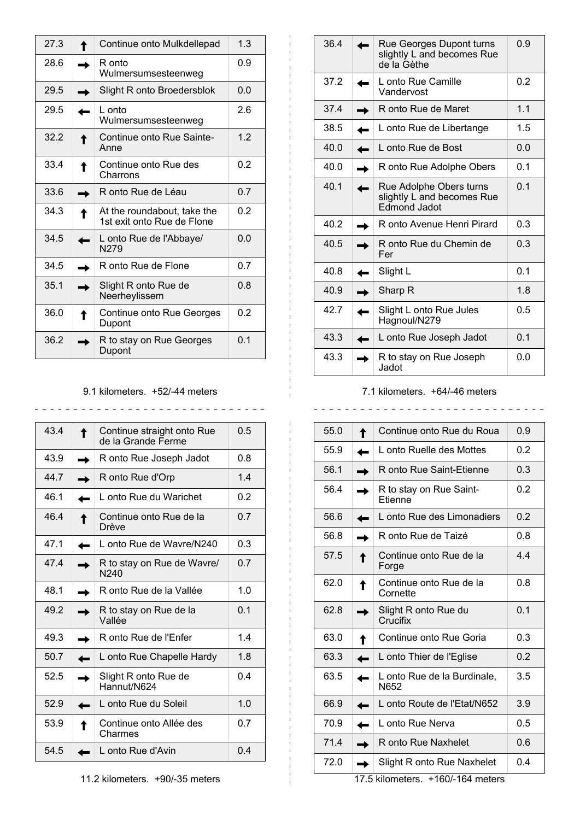| 27.3 | Continue onto Mulkdellepad                                | 1.3 |
|------|-----------------------------------------------------------|-----|
| 28.6 | R onto<br>Wulmersumsesteenweg                             | 0.9 |
| 29.5 | Slight R onto Broedersblok                                | 0.0 |
| 29.5 | L onto<br>Wulmersumsesteenweg                             | 2.6 |
| 32.2 | Continue onto Rue Sainte-<br>Anne                         | 1.2 |
| 33.4 | Continue onto Rue des<br>Charrons                         | 0.2 |
| 33.6 | R onto Rue de Léau                                        | 0.7 |
| 34.3 | At the roundabout, take the<br>1st exit onto Rue de Flone | 0.2 |
| 34.5 | L onto Rue de l'Abbaye/<br>N279                           | 0.0 |
| 34.5 | R onto Rue de Flone                                       | 0.7 |
| 35.1 | Slight R onto Rue de<br>Neerheylissem                     | 0.8 |
| 36.0 | Continue onto Rue Georges<br>Dupont                       | 0.2 |
| 36.2 | R to stay on Rue Georges<br>Dupont                        | 0.1 |

#### 9.1 kilometers. +52/-44 meters

| 43.4<br>0.5<br>Continue straight onto Rue<br>de la Grande Ferme<br>43.9<br>0.8<br>R onto Rue Joseph Jadot<br>447<br>1.4<br>R onto Rue d'Orp<br>46.1<br>L onto Rue du Warichet<br>0.2<br>46.4<br>0.7<br>Continue onto Rue de la<br>Drève<br>47.1<br>0.3<br>L onto Rue de Wavre/N240<br>47.4<br>0.7<br>R to stay on Rue de Wavre/<br>N240<br>1.0<br>48.1<br>R onto Rue de la Vallée<br>49.2<br>0.1<br>R to stay on Rue de la<br>Vallée<br>14<br>49.3<br>R onto Rue de l'Enfer<br>50.7<br>1.8<br>L onto Rue Chapelle Hardy<br>52.5<br>0.4<br>Slight R onto Rue de<br>Hannut/N624<br>52.9<br>1.0<br>L onto Rue du Soleil<br>53.9<br>0.7<br>Continue onto Allée des<br>Charmes<br>54.5<br>0.4<br>L onto Rue d'Avin |  |  |
|---------------------------------------------------------------------------------------------------------------------------------------------------------------------------------------------------------------------------------------------------------------------------------------------------------------------------------------------------------------------------------------------------------------------------------------------------------------------------------------------------------------------------------------------------------------------------------------------------------------------------------------------------------------------------------------------------------------|--|--|
|                                                                                                                                                                                                                                                                                                                                                                                                                                                                                                                                                                                                                                                                                                               |  |  |
|                                                                                                                                                                                                                                                                                                                                                                                                                                                                                                                                                                                                                                                                                                               |  |  |
|                                                                                                                                                                                                                                                                                                                                                                                                                                                                                                                                                                                                                                                                                                               |  |  |
|                                                                                                                                                                                                                                                                                                                                                                                                                                                                                                                                                                                                                                                                                                               |  |  |
|                                                                                                                                                                                                                                                                                                                                                                                                                                                                                                                                                                                                                                                                                                               |  |  |
|                                                                                                                                                                                                                                                                                                                                                                                                                                                                                                                                                                                                                                                                                                               |  |  |
|                                                                                                                                                                                                                                                                                                                                                                                                                                                                                                                                                                                                                                                                                                               |  |  |
|                                                                                                                                                                                                                                                                                                                                                                                                                                                                                                                                                                                                                                                                                                               |  |  |
|                                                                                                                                                                                                                                                                                                                                                                                                                                                                                                                                                                                                                                                                                                               |  |  |
|                                                                                                                                                                                                                                                                                                                                                                                                                                                                                                                                                                                                                                                                                                               |  |  |
|                                                                                                                                                                                                                                                                                                                                                                                                                                                                                                                                                                                                                                                                                                               |  |  |
|                                                                                                                                                                                                                                                                                                                                                                                                                                                                                                                                                                                                                                                                                                               |  |  |
|                                                                                                                                                                                                                                                                                                                                                                                                                                                                                                                                                                                                                                                                                                               |  |  |
|                                                                                                                                                                                                                                                                                                                                                                                                                                                                                                                                                                                                                                                                                                               |  |  |
|                                                                                                                                                                                                                                                                                                                                                                                                                                                                                                                                                                                                                                                                                                               |  |  |

| 36.4 | Rue Georges Dupont turns<br>slightly L and becomes Rue<br>de la Gèthe | 0.9 |
|------|-----------------------------------------------------------------------|-----|
| 37.2 | L onto Rue Camille<br>Vandervost                                      | 0.2 |
| 37.4 | R onto Rue de Maret                                                   | 1.1 |
| 38.5 | L onto Rue de Libertange                                              | 1.5 |
| 40.0 | L onto Rue de Bost                                                    | 0.0 |
| 40.0 | R onto Rue Adolphe Obers                                              | 0.1 |
| 40.1 | Rue Adolphe Obers turns<br>slightly L and becomes Rue<br>Edmond Jadot | 0.1 |
| 40.2 | R onto Avenue Henri Pirard                                            | 0.3 |
| 40.5 | R onto Rue du Chemin de<br>Fer                                        | 0.3 |
| 40.8 | Slight L                                                              | 0.1 |
| 40.9 | Sharp R                                                               | 1.8 |
| 42.7 | Slight L onto Rue Jules<br>Hagnoul/N279                               | 0.5 |
| 43.3 | L onto Rue Joseph Jadot                                               | 0.1 |
| 43.3 | R to stay on Rue Joseph<br>Jadot                                      | 0.0 |

## 7.1 kilometers. +64/-46 meters

| 55.0 | Continue onto Rue du Roua           | 0.9 |
|------|-------------------------------------|-----|
| 55.9 | L onto Ruelle des Mottes            | 0.2 |
| 56.1 | R onto Rue Saint-Etienne            | 0.3 |
| 56.4 | R to stay on Rue Saint-<br>Etienne  | 0.2 |
| 56.6 | L onto Rue des Limonadiers          | 0.2 |
| 56.8 | R onto Rue de Taizé                 | 0.8 |
| 57.5 | Continue onto Rue de la<br>Forge    | 4.4 |
| 62.0 | Continue onto Rue de la<br>Cornette | 0.8 |
| 62.8 | Slight R onto Rue du<br>Crucifix    | 0.1 |
| 63.0 | Continue onto Rue Goria             | 0.3 |
| 63.3 | L onto Thier de l'Eglise            | 0.2 |
| 63.5 | L onto Rue de la Burdinale,<br>N652 | 3.5 |
| 66.9 | L onto Route de l'Etat/N652         | 3.9 |
| 70.9 | L onto Rue Nerva                    | 0.5 |
| 71.4 | R onto Rue Naxhelet                 | 0.6 |
| 72.0 | Slight R onto Rue Naxhelet          | 0.4 |
|      |                                     |     |

17.5 kilometers. +160/-164 meters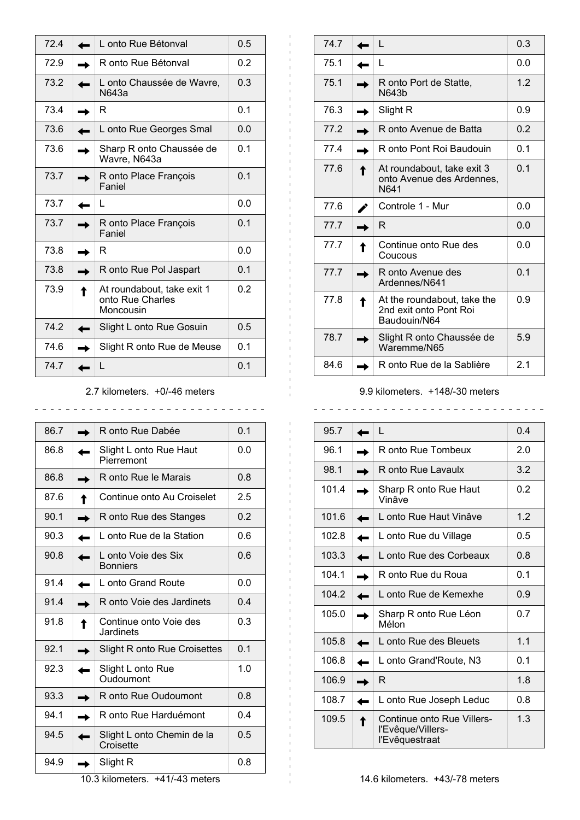| 72.4 | L onto Rue Bétonval                                         | 0.5            |
|------|-------------------------------------------------------------|----------------|
| 72.9 | R onto Rue Bétonval                                         | 0.2            |
| 73.2 | L onto Chaussée de Wavre,<br>N643a                          | 0.3            |
| 73.4 | R                                                           | 0.1            |
| 73.6 | L onto Rue Georges Smal                                     | 0.0            |
| 73.6 | Sharp R onto Chaussée de<br>Wavre, N643a                    | 0 <sub>1</sub> |
| 73.7 | R onto Place François<br>Faniel                             | 0.1            |
| 73.7 | L                                                           | 0.0            |
| 73.7 | R onto Place François<br>Faniel                             | 0.1            |
| 73.8 | R                                                           | 0.0            |
| 73.8 | R onto Rue Pol Jaspart                                      | 0.1            |
| 73.9 | At roundabout, take exit 1<br>onto Rue Charles<br>Moncousin | 0.2            |
| 74.2 | Slight L onto Rue Gosuin                                    | 0.5            |
| 74.6 | Slight R onto Rue de Meuse                                  | 0.1            |
| 74.7 | L                                                           | 0.1            |

## 2.7 kilometers. +0/-46 meters

86.7 R onto Rue Dabée 0.1 86.8 | Slight L onto Rue Haut **Pierremont** 0.0 86.8 R onto Rue le Marais 0.8 87.6 **Continue onto Au Croiselet** 2.5 90.1 R onto Rue des Stanges 0.2 90.3 | Lonto Rue de la Station | 0.6 90.8 **L** L onto Voie des Six **Bonniers** 0.6 91.4 | Lonto Grand Route 0.0 91.4 R onto Voie des Jardinets 0.4 91.8 **Continue onto Voie des** Jardinets 0.3 92.1 **Slight R onto Rue Croisettes** 0.1 92.3  $\Box$  Slight L onto Rue Oudoumont 1.0 93.3 **R** R onto Rue Oudoumont 0.8 94.1 | R onto Rue Harduémont | 0.4 94.5 **Slight L onto Chemin de la Croisette** 0.5 94.9 Slight R 0.8

10.3 kilometers. +41/-43 meters

| 74.7 | L                                                                     | 0.3 |
|------|-----------------------------------------------------------------------|-----|
| 75.1 | L                                                                     | 0.0 |
| 75.1 | R onto Port de Statte,<br>N643b                                       | 1.2 |
| 76.3 | Slight R                                                              | 0.9 |
| 77.2 | R onto Avenue de Batta                                                | 0.2 |
| 77.4 | R onto Pont Roi Baudouin                                              | 0.1 |
| 77.6 | At roundabout, take exit 3<br>onto Avenue des Ardennes,<br>N641       | 0.1 |
| 77.6 | Controle 1 - Mur                                                      | 0.0 |
| 77.7 | R                                                                     | 0.0 |
| 77.7 | Continue onto Rue des<br>Coucous                                      | 0.0 |
| 77.7 | R onto Avenue des<br>Ardennes/N641                                    | 0.1 |
| 77.8 | At the roundabout, take the<br>2nd exit onto Pont Roi<br>Baudouin/N64 | 0.9 |
| 78.7 | Slight R onto Chaussée de<br>Waremme/N65                              | 5.9 |
| 84.6 | R onto Rue de la Sablière                                             | 2.1 |

#### 9.9 kilometers. +148/-30 meters

| 95.7  | L                                                                 | 0.4 |
|-------|-------------------------------------------------------------------|-----|
| 96.1  | R onto Rue Tombeux                                                | 20  |
| 98.1  | R onto Rue Lavaulx                                                | 3.2 |
| 101.4 | Sharp R onto Rue Haut<br>Vinâve                                   | 0.2 |
| 101.6 | L onto Rue Haut Vinâve                                            | 1.2 |
| 102.8 | L onto Rue du Village                                             | 0.5 |
| 103.3 | L onto Rue des Corbeaux                                           | 0.8 |
| 104.1 | R onto Rue du Roua                                                | 0.1 |
| 104.2 | L onto Rue de Kemexhe                                             | 0.9 |
| 105.0 | Sharp R onto Rue Léon<br>Mélon                                    | 0.7 |
| 105.8 | L onto Rue des Bleuets                                            | 1.1 |
| 106.8 | L onto Grand'Route, N3                                            | 0.1 |
| 106.9 | R                                                                 | 1.8 |
| 108.7 | L onto Rue Joseph Leduc                                           | 0.8 |
| 109.5 | Continue onto Rue Villers-<br>l'Evêque/Villers-<br>l'Evêquestraat | 1.3 |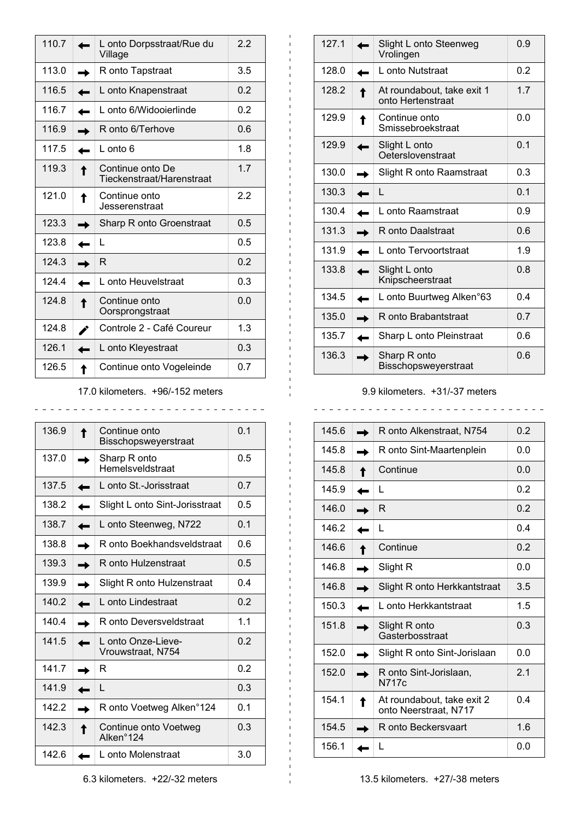| 110.7 | L onto Dorpsstraat/Rue du<br>Village          | 2.2 |
|-------|-----------------------------------------------|-----|
| 113.0 | R onto Tapstraat                              | 3.5 |
| 116.5 | L onto Knapenstraat                           | 0.2 |
| 116.7 | L onto 6/Widooierlinde                        | 0.2 |
| 116.9 | R onto 6/Terhove                              | 0.6 |
| 117.5 | $L$ onto 6                                    | 1.8 |
| 119.3 | Continue onto De<br>Tieckenstraat/Harenstraat | 1.7 |
| 121.0 | Continue onto<br>Jesserenstraat               | 2.2 |
| 123.3 | Sharp R onto Groenstraat                      | 0.5 |
| 123.8 | L                                             | 0.5 |
| 124.3 | R                                             | 0.2 |
| 1244  | L onto Heuvelstraat                           | 0.3 |
| 1248  | Continue onto<br>Oorsprongstraat              | 0.0 |
| 124.8 | Controle 2 - Café Coureur                     | 1.3 |
| 126.1 | L onto Kleyestraat                            | 0.3 |
| 126.5 | Continue onto Vogeleinde                      | 0.7 |

17.0 kilometers. +96/-152 meters

136.9 Continue onto Bisschopsweyerstraat 0.1 137.0  $\Box$  Sharp R onto Hemelsveldstraat 0.5 137.5 **L** L onto St.-Jorisstraat 0.7 138.2  $\Box$  Slight L onto Sint-Jorisstraat  $\Box$  0.5 138.7 **L** L onto Steenweg, N722 0.1 138.8  $\Box$  R onto Boekhandsveldstraat 0.6 139.3 **R** R onto Hulzenstraat 0.5 139.9 | Slight R onto Hulzenstraat | 0.4 140.2 | Lonto Lindestraat 0.2 140.4 **R** R onto Deversveldstraat 1.1 141.5 | Lonto Onze-Lieve-Vrouwstraat, N754 0.2 141.7 **R**  $\vert$  **R**  $\vert$  0.2  $141.9$   $\blacksquare$  L 0.3 142.2 | R onto Voetweg Alken°124 | 0.1 142.3 **Continue onto Voetweg** Alken°124 0.3 142.6 | Lonto Molenstraat 3.0

| 127.1 | Slight L onto Steenweg<br>Vrolingen             | 0.9 |
|-------|-------------------------------------------------|-----|
| 128.0 | L onto Nutstraat                                | 0.2 |
|       |                                                 |     |
| 128.2 | At roundabout, take exit 1<br>onto Hertenstraat | 1.7 |
| 129.9 | Continue onto<br>Smissebroekstraat              | 0.0 |
| 129.9 | Slight L onto<br>Oeterslovenstraat              | 0.1 |
| 130.0 | Slight R onto Raamstraat                        | 0.3 |
| 130.3 | L                                               | 0.1 |
| 130.4 | L onto Raamstraat                               | 0.9 |
| 131.3 | R onto Daalstraat                               | 0.6 |
| 131.9 | L onto Tervoortstraat                           | 1.9 |
| 133.8 | Slight L onto<br>Knipscheerstraat               | 0.8 |
| 134.5 | L onto Buurtweg Alken°63                        | 0.4 |
| 135.0 | R onto Brabantstraat                            | 0.7 |
| 135.7 | Sharp L onto Pleinstraat                        | 0.6 |
| 136.3 | Sharp R onto<br>Bisschopsweyerstraat            | 0.6 |

#### 9.9 kilometers. +31/-37 meters

 $\frac{1}{2}$ 

145.6 **R** R onto Alkenstraat, N754 0.2 145.8 | R onto Sint-Maartenplein 0.0 145.8 Continue 0.0  $145.9$   $\blacksquare$  L 0.2  $146.0$  R 0.2  $146.2$   $\blacksquare$  L 0.4 146.6 Continue 0.2  $146.8$  Slight R 0.0 146.8 **Slight R onto Herkkantstraat** 3.5 150.3 | Lonto Herkkantstraat 1.5 151.8 **Slight R onto** Gasterbosstraat 0.3 152.0  $\blacksquare$  Slight R onto Sint-Jorislaan 0.0 152.0 **R** R onto Sint-Jorislaan, N717c 2.1 154.1 **M** At roundabout, take exit 2 onto Neerstraat, N717 0.4 154.5 **R** R onto Beckersvaart 1.6  $156.1$  L 0.0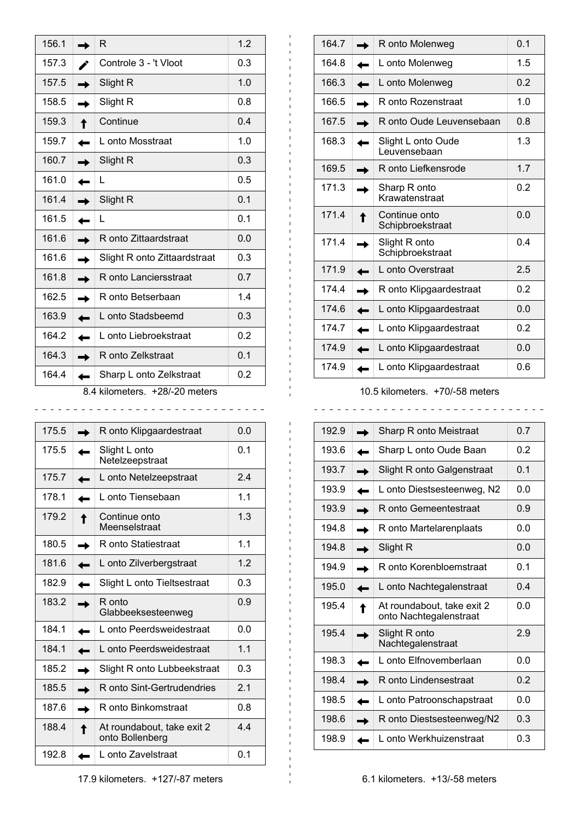| 156.1                                   |  | R                            | 1.2 |  |  |  |
|-----------------------------------------|--|------------------------------|-----|--|--|--|
| 157.3                                   |  | Controle 3 - 't Vloot        | 0.3 |  |  |  |
| 157.5                                   |  | Slight R                     | 1.0 |  |  |  |
| 158.5                                   |  | Slight R                     | 0.8 |  |  |  |
| 159.3                                   |  | Continue                     | 0.4 |  |  |  |
| 159.7                                   |  | L onto Mosstraat             | 1.0 |  |  |  |
| 160.7                                   |  | Slight R                     | 0.3 |  |  |  |
| 161.0                                   |  | L                            | 0.5 |  |  |  |
| 161.4                                   |  | Slight R                     | 0.1 |  |  |  |
| 161.5                                   |  | L                            | 0.1 |  |  |  |
| 161.6                                   |  | R onto Zittaardstraat        | 0.0 |  |  |  |
| 161.6                                   |  | Slight R onto Zittaardstraat | 0.3 |  |  |  |
| 161.8                                   |  | R onto Lanciersstraat        | 0.7 |  |  |  |
| 162.5                                   |  | R onto Betserbaan            | 1.4 |  |  |  |
| 163.9                                   |  | L onto Stadsbeemd            | 0.3 |  |  |  |
| 164.2                                   |  | L onto Liebroekstraat        | 0.2 |  |  |  |
| 164.3                                   |  | R onto Zelkstraat            | 0.1 |  |  |  |
| 164.4<br>0.2<br>Sharp L onto Zelkstraat |  |                              |     |  |  |  |
| 8.4 kilometers. +28/-20 meters          |  |                              |     |  |  |  |

| 175.5<br>0.0<br>R onto Klipgaardestraat<br>175.5<br>0.1<br>Slight L onto<br>Netelzeepstraat<br>175.7<br>L onto Netelzeepstraat<br>24<br>1 <sub>1</sub><br>1781<br>L onto Tiensebaan<br>1.3<br>179.2<br>Continue onto<br>Meenselstraat<br>1.1<br>180.5<br>R onto Statiestraat<br>1.2<br>181.6<br>L onto Zilverbergstraat<br>182.9<br>0.3<br>Slight L onto Tieltsestraat<br>183.2<br>R onto<br>0.9<br>Glabbeeksesteenweg<br>184.1<br>0.0<br>L onto Peerdsweidestraat<br>1.1<br>184.1<br>L onto Peerdsweidestraat<br>185.2<br>0.3<br>Slight R onto Lubbeekstraat<br>2 <sub>1</sub><br>185.5<br>R onto Sint-Gertrudendries<br>187.6<br>0.8<br>R onto Binkomstraat<br>188.4<br>4.4<br>At roundabout, take exit 2<br>onto Bollenberg<br>192.8<br>L onto Zavelstraat<br>0.1 |  |  |
|----------------------------------------------------------------------------------------------------------------------------------------------------------------------------------------------------------------------------------------------------------------------------------------------------------------------------------------------------------------------------------------------------------------------------------------------------------------------------------------------------------------------------------------------------------------------------------------------------------------------------------------------------------------------------------------------------------------------------------------------------------------------|--|--|
|                                                                                                                                                                                                                                                                                                                                                                                                                                                                                                                                                                                                                                                                                                                                                                      |  |  |
|                                                                                                                                                                                                                                                                                                                                                                                                                                                                                                                                                                                                                                                                                                                                                                      |  |  |
|                                                                                                                                                                                                                                                                                                                                                                                                                                                                                                                                                                                                                                                                                                                                                                      |  |  |
|                                                                                                                                                                                                                                                                                                                                                                                                                                                                                                                                                                                                                                                                                                                                                                      |  |  |
|                                                                                                                                                                                                                                                                                                                                                                                                                                                                                                                                                                                                                                                                                                                                                                      |  |  |
|                                                                                                                                                                                                                                                                                                                                                                                                                                                                                                                                                                                                                                                                                                                                                                      |  |  |
|                                                                                                                                                                                                                                                                                                                                                                                                                                                                                                                                                                                                                                                                                                                                                                      |  |  |
|                                                                                                                                                                                                                                                                                                                                                                                                                                                                                                                                                                                                                                                                                                                                                                      |  |  |
|                                                                                                                                                                                                                                                                                                                                                                                                                                                                                                                                                                                                                                                                                                                                                                      |  |  |
|                                                                                                                                                                                                                                                                                                                                                                                                                                                                                                                                                                                                                                                                                                                                                                      |  |  |
|                                                                                                                                                                                                                                                                                                                                                                                                                                                                                                                                                                                                                                                                                                                                                                      |  |  |
|                                                                                                                                                                                                                                                                                                                                                                                                                                                                                                                                                                                                                                                                                                                                                                      |  |  |
|                                                                                                                                                                                                                                                                                                                                                                                                                                                                                                                                                                                                                                                                                                                                                                      |  |  |
|                                                                                                                                                                                                                                                                                                                                                                                                                                                                                                                                                                                                                                                                                                                                                                      |  |  |
|                                                                                                                                                                                                                                                                                                                                                                                                                                                                                                                                                                                                                                                                                                                                                                      |  |  |
|                                                                                                                                                                                                                                                                                                                                                                                                                                                                                                                                                                                                                                                                                                                                                                      |  |  |

| 164.7 | R onto Molenweg                    | 0.1 |  |  |  |
|-------|------------------------------------|-----|--|--|--|
| 1648  | L onto Molenweg                    | 1.5 |  |  |  |
| 166.3 | L onto Molenweg                    | 0.2 |  |  |  |
| 166.5 | R onto Rozenstraat                 | 1.0 |  |  |  |
| 167.5 | R onto Oude Leuvensebaan           | 0.8 |  |  |  |
| 168.3 | Slight L onto Oude<br>Leuvensebaan | 1.3 |  |  |  |
| 169.5 | R onto Liefkensrode                | 1.7 |  |  |  |
| 171.3 | Sharp R onto<br>Krawatenstraat     | 0.2 |  |  |  |
| 1714  | Continue onto<br>Schipbroekstraat  | 0.0 |  |  |  |
| 171.4 | Slight R onto<br>Schipbroekstraat  | 0.4 |  |  |  |
| 171.9 | L onto Overstraat                  | 2.5 |  |  |  |
| 174.4 | R onto Klipgaardestraat            | 0.2 |  |  |  |
| 174.6 | L onto Klipgaardestraat            | 0.0 |  |  |  |
| 174.7 | L onto Klipgaardestraat            | 0.2 |  |  |  |
| 174.9 | L onto Klipgaardestraat            | 0.0 |  |  |  |
| 174.9 | L onto Klipgaardestraat            | 0.6 |  |  |  |

10.5 kilometers. +70/-58 meters

<u>. . . . . . . . .</u>

| - |  |  |  |  |  |  |  |  | _ _ _ _ _ _ _ _ _ _ _ _ _ _ _ _ _ |  |
|---|--|--|--|--|--|--|--|--|-----------------------------------|--|

 $\overline{a}$ 

| 192.9 | Sharp R onto Meistraat                               | 0.7            |
|-------|------------------------------------------------------|----------------|
| 193.6 | Sharp L onto Oude Baan                               | 0.2            |
| 193.7 | Slight R onto Galgenstraat                           | 0.1            |
| 1939  | L onto Diestsesteenweg, N2                           | 0.0            |
| 193.9 | R onto Gemeentestraat                                | 0.9            |
| 194.8 | R onto Martelarenplaats                              | 0.0            |
| 194.8 | Slight R                                             | 0.0            |
| 194.9 | R onto Korenbloemstraat                              | 0 <sub>1</sub> |
| 195.0 | L onto Nachtegalenstraat                             | 0.4            |
| 195.4 | At roundabout, take exit 2<br>onto Nachtegalenstraat | 0.0            |
| 1954  | Slight R onto<br>Nachtegalenstraat                   | 2.9            |
| 198.3 | L onto Elfnovemberlaan                               | 0.0            |
| 198.4 | R onto Lindensestraat                                | 0.2            |
| 198.5 | L onto Patroonschapstraat                            | 0.0            |
| 198.6 | R onto Diestsesteenweg/N2                            | 0.3            |
| 198.9 | L onto Werkhuizenstraat                              | 0.3            |